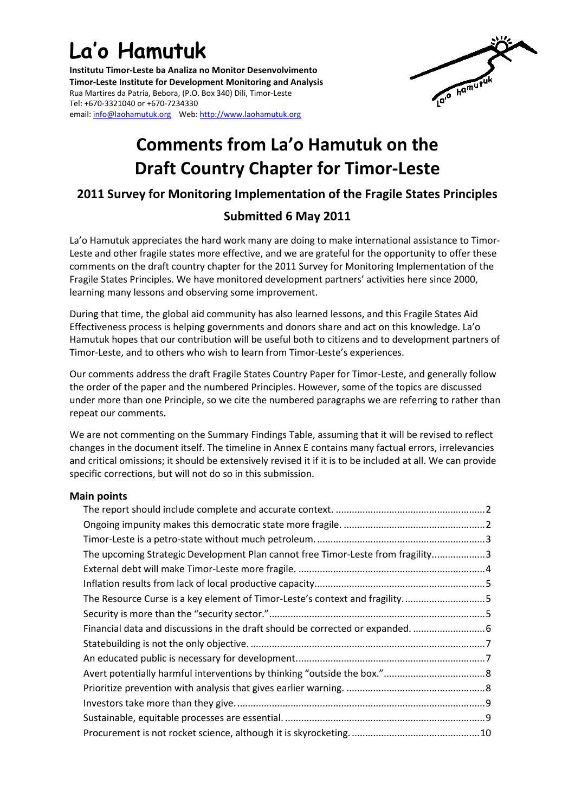# **La'o Hamutuk**

**Institutu Timor-Leste ba Analiza no Monitor Desenvolvimento Timor-Leste Institute for Development Monitoring and Analysis** Rua Martires da Patria, Bebora, (P.O. Box 340) Dili, Timor-Leste Tel: +670-3321040 or +670-7234330 email[: info@laohamutuk.org](mailto:info@laohamutuk.org) Web: [http://www.laohamutuk.org](http://www.laohamutuk.org/)



# **Comments from La'o Hamutuk on the Draft Country Chapter for Timor-Leste**

### **2011 Survey for Monitoring Implementation of the Fragile States Principles**

## **Submitted 6 May 2011**

La'o Hamutuk appreciates the hard work many are doing to make international assistance to Timor-Leste and other fragile states more effective, and we are grateful for the opportunity to offer these comments on the draft country chapter for the 2011 Survey for Monitoring Implementation of the Fragile States Principles. We have monitored development partners' activities here since 2000, learning many lessons and observing some improvement.

During that time, the global aid community has also learned lessons, and this Fragile States Aid Effectiveness process is helping governments and donors share and act on this knowledge. La'o Hamutuk hopes that our contribution will be useful both to citizens and to development partners of Timor-Leste, and to others who wish to learn from Timor-Leste's experiences.

Our comments address the draft Fragile States Country Paper for Timor-Leste, and generally follow the order of the paper and the numbered Principles. However, some of the topics are discussed under more than one Principle, so we cite the numbered paragraphs we are referring to rather than repeat our comments.

We are not commenting on the Summary Findings Table, assuming that it will be revised to reflect changes in the document itself. The timeline in Annex E contains many factual errors, irrelevancies and critical omissions; it should be extensively revised it if it is to be included at all. We can provide specific corrections, but will not do so in this submission.

#### **Main points**

| The upcoming Strategic Development Plan cannot free Timor-Leste from fragility3 |  |  |  |
|---------------------------------------------------------------------------------|--|--|--|
|                                                                                 |  |  |  |
|                                                                                 |  |  |  |
| The Resource Curse is a key element of Timor-Leste's context and fragility5     |  |  |  |
|                                                                                 |  |  |  |
|                                                                                 |  |  |  |
|                                                                                 |  |  |  |
|                                                                                 |  |  |  |
|                                                                                 |  |  |  |
|                                                                                 |  |  |  |
|                                                                                 |  |  |  |
|                                                                                 |  |  |  |
|                                                                                 |  |  |  |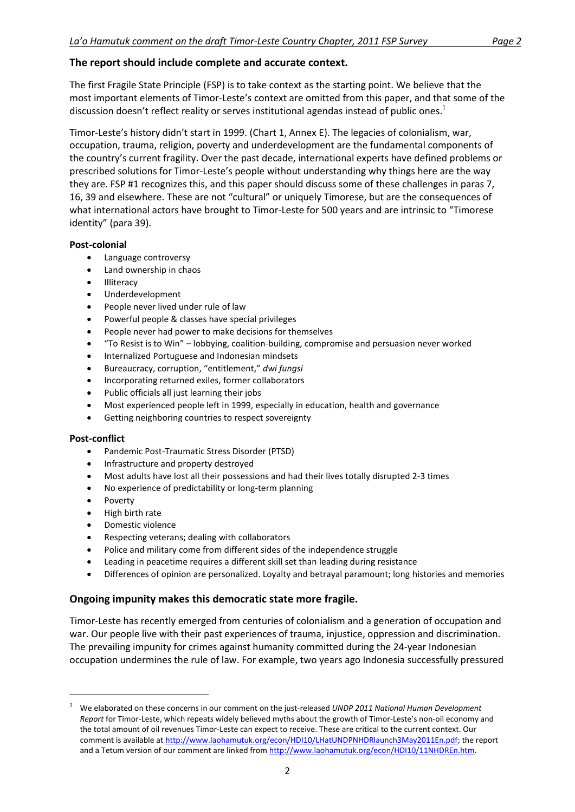#### <span id="page-1-0"></span>**The report should include complete and accurate context.**

The first Fragile State Principle (FSP) is to take context as the starting point. We believe that the most important elements of Timor-Leste's context are omitted from this paper, and that some of the discussion doesn't reflect reality or serves institutional agendas instead of public ones. $1$ 

Timor-Leste's history didn't start in 1999. (Chart 1, Annex E). The legacies of colonialism, war, occupation, trauma, religion, poverty and underdevelopment are the fundamental components of the country's current fragility. Over the past decade, international experts have defined problems or prescribed solutions for Timor-Leste's people without understanding why things here are the way they are. FSP #1 recognizes this, and this paper should discuss some of these challenges in paras 7, 16, 39 and elsewhere. These are not "cultural" or uniquely Timorese, but are the consequences of what international actors have brought to Timor-Leste for 500 years and are intrinsic to "Timorese identity" (para 39).

#### **Post-colonial**

- Language controversy
- Land ownership in chaos
- Illiteracy
- Underdevelopment
- People never lived under rule of law
- Powerful people & classes have special privileges
- People never had power to make decisions for themselves
- "To Resist is to Win" lobbying, coalition-building, compromise and persuasion never worked
- Internalized Portuguese and Indonesian mindsets
- Bureaucracy, corruption, "entitlement," *dwi fungsi*
- Incorporating returned exiles, former collaborators
- Public officials all just learning their jobs
- Most experienced people left in 1999, especially in education, health and governance
- Getting neighboring countries to respect sovereignty

#### **Post-conflict**

- Pandemic Post-Traumatic Stress Disorder (PTSD)
- Infrastructure and property destroyed
- Most adults have lost all their possessions and had their lives totally disrupted 2-3 times
- No experience of predictability or long-term planning
- Poverty

1

- High birth rate
- Domestic violence
- Respecting veterans; dealing with collaborators
- Police and military come from different sides of the independence struggle
- Leading in peacetime requires a different skill set than leading during resistance
- Differences of opinion are personalized. Loyalty and betrayal paramount; long histories and memories

#### <span id="page-1-1"></span>**Ongoing impunity makes this democratic state more fragile.**

Timor-Leste has recently emerged from centuries of colonialism and a generation of occupation and war. Our people live with their past experiences of trauma, injustice, oppression and discrimination. The prevailing impunity for crimes against humanity committed during the 24-year Indonesian occupation undermines the rule of law. For example, two years ago Indonesia successfully pressured

<sup>1</sup> We elaborated on these concerns in our comment on the just-released *UNDP 2011 National Human Development Report* for Timor-Leste, which repeats widely believed myths about the growth of Timor-Leste's non-oil economy and the total amount of oil revenues Timor-Leste can expect to receive. These are critical to the current context. Our comment is available a[t http://www.laohamutuk.org/econ/HDI10/LHatUNDPNHDRlaunch3May2011En.pdf;](http://www.laohamutuk.org/econ/HDI10/LHatUNDPNHDRlaunch3May2011En.pdf) the report and a Tetum version of our comment are linked from [http://www.laohamutuk.org/econ/HDI10/11NHDREn.htm.](http://www.laohamutuk.org/econ/HDI10/11NHDREn.htm)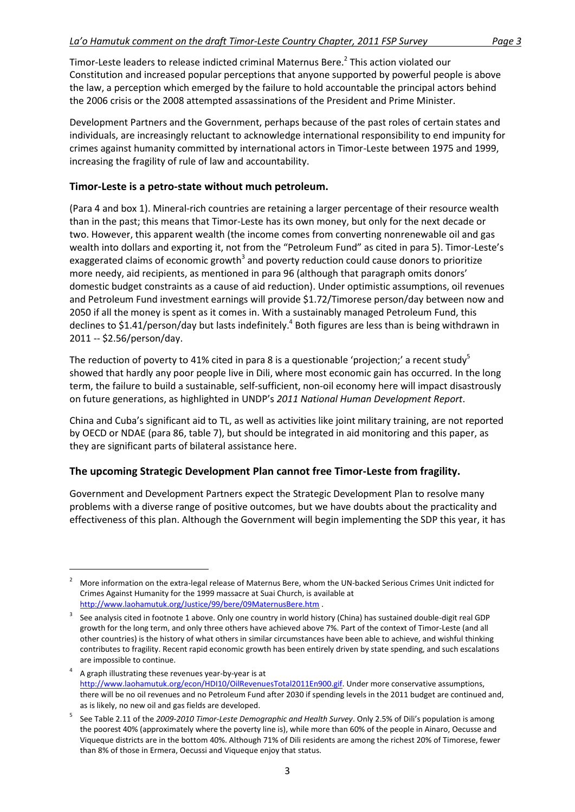Timor-Leste leaders to release indicted criminal Maternus Bere.<sup>2</sup> This action violated our Constitution and increased popular perceptions that anyone supported by powerful people is above the law, a perception which emerged by the failure to hold accountable the principal actors behind the 2006 crisis or the 2008 attempted assassinations of the President and Prime Minister.

Development Partners and the Government, perhaps because of the past roles of certain states and individuals, are increasingly reluctant to acknowledge international responsibility to end impunity for crimes against humanity committed by international actors in Timor-Leste between 1975 and 1999, increasing the fragility of rule of law and accountability.

#### <span id="page-2-0"></span>**Timor-Leste is a petro-state without much petroleum.**

**.** 

(Para 4 and box 1). Mineral-rich countries are retaining a larger percentage of their resource wealth than in the past; this means that Timor-Leste has its own money, but only for the next decade or two. However, this apparent wealth (the income comes from converting nonrenewable oil and gas wealth into dollars and exporting it, not from the "Petroleum Fund" as cited in para 5). Timor-Leste's exaggerated claims of economic growth<sup>3</sup> and poverty reduction could cause donors to prioritize more needy, aid recipients, as mentioned in para 96 (although that paragraph omits donors' domestic budget constraints as a cause of aid reduction). Under optimistic assumptions, oil revenues and Petroleum Fund investment earnings will provide \$1.72/Timorese person/day between now and 2050 if all the money is spent as it comes in. With a sustainably managed Petroleum Fund, this declines to \$1.41/person/day but lasts indefinitely.<sup>4</sup> Both figures are less than is being withdrawn in 2011 -- \$2.56/person/day.

The reduction of poverty to 41% cited in para 8 is a questionable 'projection;' a recent study<sup>5</sup> showed that hardly any poor people live in Dili, where most economic gain has occurred. In the long term, the failure to build a sustainable, self-sufficient, non-oil economy here will impact disastrously on future generations, as highlighted in UNDP's *2011 National Human Development Report*.

China and Cuba's significant aid to TL, as well as activities like joint military training, are not reported by OECD or NDAE (para 86, table 7), but should be integrated in aid monitoring and this paper, as they are significant parts of bilateral assistance here.

#### <span id="page-2-1"></span>**The upcoming Strategic Development Plan cannot free Timor-Leste from fragility.**

Government and Development Partners expect the Strategic Development Plan to resolve many problems with a diverse range of positive outcomes, but we have doubts about the practicality and effectiveness of this plan. Although the Government will begin implementing the SDP this year, it has

<sup>2</sup> More information on the extra-legal release of Maternus Bere, whom the UN-backed Serious Crimes Unit indicted for Crimes Against Humanity for the 1999 massacre at Suai Church, is available at <http://www.laohamutuk.org/Justice/99/bere/09MaternusBere.htm> .

<sup>3</sup> See analysis cited in footnote 1 above. Only one country in world history (China) has sustained double-digit real GDP growth for the long term, and only three others have achieved above 7%. Part of the context of Timor-Leste (and all other countries) is the history of what others in similar circumstances have been able to achieve, and wishful thinking contributes to fragility. Recent rapid economic growth has been entirely driven by state spending, and such escalations are impossible to continue.

<sup>4</sup> A graph illustrating these revenues year-by-year is at [http://www.laohamutuk.org/econ/HDI10/OilRevenuesTotal2011En900.gif.](http://www.laohamutuk.org/econ/HDI10/OilRevenuesTotal2011En900.gif) Under more conservative assumptions, there will be no oil revenues and no Petroleum Fund after 2030 if spending levels in the 2011 budget are continued and, as is likely, no new oil and gas fields are developed.

<sup>5</sup> See Table 2.11 of the *2009-2010 Timor-Leste Demographic and Health Survey*. Only 2.5% of Dili's population is among the poorest 40% (approximately where the poverty line is), while more than 60% of the people in Ainaro, Oecusse and Viqueque districts are in the bottom 40%. Although 71% of Dili residents are among the richest 20% of Timorese, fewer than 8% of those in Ermera, Oecussi and Viqueque enjoy that status.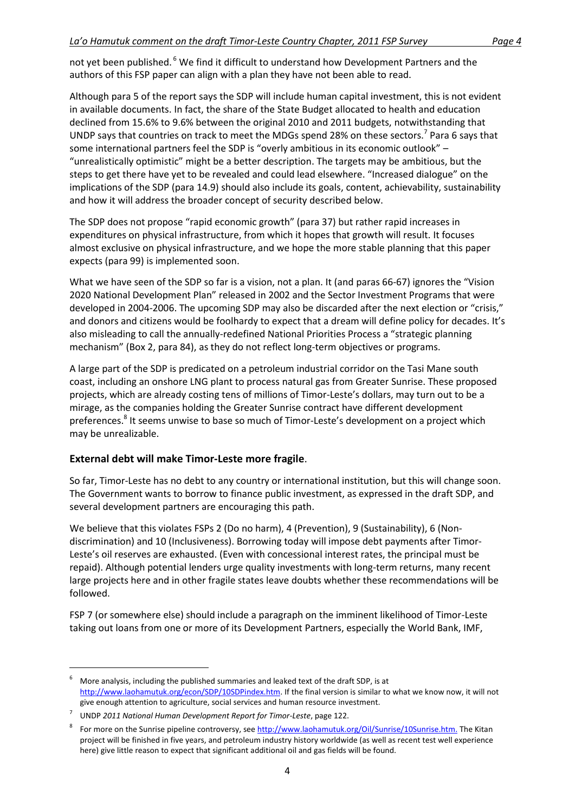not yet been published. <sup>6</sup> We find it difficult to understand how Development Partners and the authors of this FSP paper can align with a plan they have not been able to read.

Although para 5 of the report says the SDP will include human capital investment, this is not evident in available documents. In fact, the share of the State Budget allocated to health and education declined from 15.6% to 9.6% between the original 2010 and 2011 budgets, notwithstanding that UNDP says that countries on track to meet the MDGs spend 28% on these sectors.<sup>7</sup> Para 6 says that some international partners feel the SDP is "overly ambitious in its economic outlook" -"unrealistically optimistic" might be a better description. The targets may be ambitious, but the steps to get there have yet to be revealed and could lead elsewhere. "Increased dialogue" on the implications of the SDP (para 14.9) should also include its goals, content, achievability, sustainability and how it will address the broader concept of security described below.

The SDP does not propose "rapid economic growth" (para 37) but rather rapid increases in expenditures on physical infrastructure, from which it hopes that growth will result. It focuses almost exclusive on physical infrastructure, and we hope the more stable planning that this paper expects (para 99) is implemented soon.

What we have seen of the SDP so far is a vision, not a plan. It (and paras 66-67) ignores the "Vision 2020 National Development Plan" released in 2002 and the Sector Investment Programs that were developed in 2004-2006. The upcoming SDP may also be discarded after the next election or "crisis," and donors and citizens would be foolhardy to expect that a dream will define policy for decades. It's also misleading to call the annually-redefined National Priorities Process a "strategic planning mechanism" (Box 2, para 84), as they do not reflect long-term objectives or programs.

A large part of the SDP is predicated on a petroleum industrial corridor on the Tasi Mane south coast, including an onshore LNG plant to process natural gas from Greater Sunrise. These proposed projects, which are already costing tens of millions of Timor-Leste's dollars, may turn out to be a mirage, as the companies holding the Greater Sunrise contract have different development preferences.<sup>8</sup> It seems unwise to base so much of Timor-Leste's development on a project which may be unrealizable.

#### <span id="page-3-0"></span>**External debt will make Timor-Leste more fragile**.

So far, Timor-Leste has no debt to any country or international institution, but this will change soon. The Government wants to borrow to finance public investment, as expressed in the draft SDP, and several development partners are encouraging this path.

We believe that this violates FSPs 2 (Do no harm), 4 (Prevention), 9 (Sustainability), 6 (Nondiscrimination) and 10 (Inclusiveness). Borrowing today will impose debt payments after Timor-Leste's oil reserves are exhausted. (Even with concessional interest rates, the principal must be repaid). Although potential lenders urge quality investments with long-term returns, many recent large projects here and in other fragile states leave doubts whether these recommendations will be followed.

FSP 7 (or somewhere else) should include a paragraph on the imminent likelihood of Timor-Leste taking out loans from one or more of its Development Partners, especially the World Bank, IMF,

<sup>6</sup> More analysis, including the published summaries and leaked text of the draft SDP, is at [http://www.laohamutuk.org/econ/SDP/10SDPindex.htm.](http://www.laohamutuk.org/econ/SDP/10SDPindex.htm) If the final version is similar to what we know now, it will not give enough attention to agriculture, social services and human resource investment.

<sup>7</sup> UNDP *2011 National Human Development Report for Timor-Leste*, page 122.

<sup>8</sup> For more on the Sunrise pipeline controversy, se[e http://www.laohamutuk.org/Oil/Sunrise/10Sunrise.htm.](http://www.laohamutuk.org/Oil/Sunrise/10Sunrise.htm) The Kitan project will be finished in five years, and petroleum industry history worldwide (as well as recent test well experience here) give little reason to expect that significant additional oil and gas fields will be found.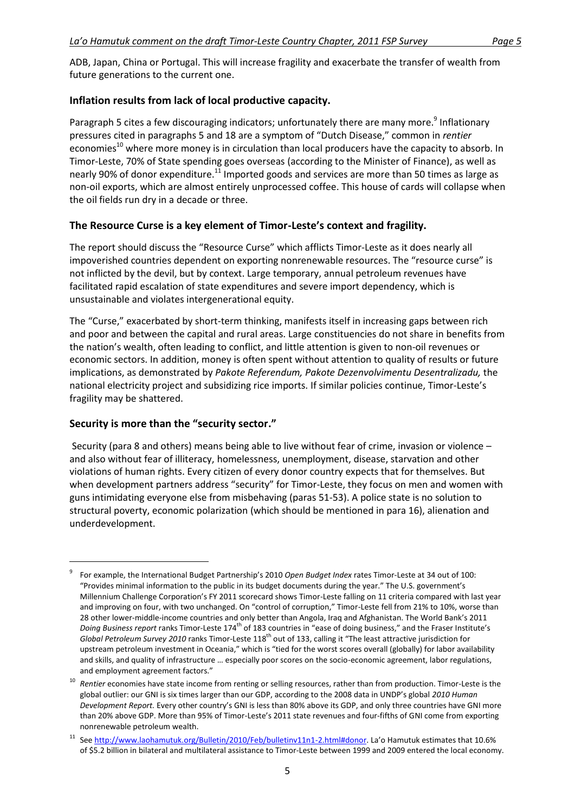ADB, Japan, China or Portugal. This will increase fragility and exacerbate the transfer of wealth from future generations to the current one.

#### <span id="page-4-0"></span>**Inflation results from lack of local productive capacity.**

Paragraph 5 cites a few discouraging indicators; unfortunately there are many more.<sup>9</sup> Inflationary pressures cited in paragraphs 5 and 18 are a symptom of "Dutch Disease," common in *rentier* economies<sup>10</sup> where more money is in circulation than local producers have the capacity to absorb. In Timor-Leste, 70% of State spending goes overseas (according to the Minister of Finance), as well as nearly 90% of donor expenditure.<sup>11</sup> Imported goods and services are more than 50 times as large as non-oil exports, which are almost entirely unprocessed coffee. This house of cards will collapse when the oil fields run dry in a decade or three.

#### <span id="page-4-1"></span>**The Resource Curse is a key element of Timor-Leste's context and fragility.**

The report should discuss the "Resource Curse" which afflicts Timor-Leste as it does nearly all impoverished countries dependent on exporting nonrenewable resources. The "resource curse" is not inflicted by the devil, but by context. Large temporary, annual petroleum revenues have facilitated rapid escalation of state expenditures and severe import dependency, which is unsustainable and violates intergenerational equity.

The "Curse," exacerbated by short-term thinking, manifests itself in increasing gaps between rich and poor and between the capital and rural areas. Large constituencies do not share in benefits from the nation's wealth, often leading to conflict, and little attention is given to non-oil revenues or economic sectors. In addition, money is often spent without attention to quality of results or future implications, as demonstrated by *Pakote Referendum, Pakote Dezenvolvimentu Desentralizadu,* the national electricity project and subsidizing rice imports. If similar policies continue, Timor-Leste's fragility may be shattered.

#### <span id="page-4-2"></span>**Security is more than the "security sector."**

 $\overline{\phantom{a}}$ 

Security (para 8 and others) means being able to live without fear of crime, invasion or violence – and also without fear of illiteracy, homelessness, unemployment, disease, starvation and other violations of human rights. Every citizen of every donor country expects that for themselves. But when development partners address "security" for Timor-Leste, they focus on men and women with guns intimidating everyone else from misbehaving (paras 51-53). A police state is no solution to structural poverty, economic polarization (which should be mentioned in para 16), alienation and underdevelopment.

<sup>9</sup> For example, the International Budget Partnership's 2010 *Open Budget Index* rates Timor-Leste at 34 out of 100: "Provides minimal information to the public in its budget documents during the year." The U.S. government's Millennium Challenge Corporation's FY 2011 scorecard shows Timor-Leste falling on 11 criteria compared with last year and improving on four, with two unchanged. On "control of corruption," Timor-Leste fell from 21% to 10%, worse than 28 other lower-middle-income countries and only better than Angola, Iraq and Afghanistan. The World Bank's 2011 *Doing Business report* ranks Timor-Leste 174th of 183 countries in "ease of doing business," and the Fraser Institute's *Global Petroleum Survey 2010* ranks Timor-Leste 118th out of 133, calling it "The least attractive jurisdiction for upstream petroleum investment in Oceania," which is "tied for the worst scores overall (globally) for labor availability and skills, and quality of infrastructure … especially poor scores on the socio-economic agreement, labor regulations, and employment agreement factors."

<sup>&</sup>lt;sup>10</sup> Rentier economies have state income from renting or selling resources, rather than from production. Timor-Leste is the global outlier: our GNI is six times larger than our GDP, according to the 2008 data in UNDP's global *2010 Human Development Report.* Every other country's GNI is less than 80% above its GDP, and only three countries have GNI more than 20% above GDP. More than 95% of Timor-Leste's 2011 state revenues and four-fifths of GNI come from exporting nonrenewable petroleum wealth.

<sup>11</sup> See<http://www.laohamutuk.org/Bulletin/2010/Feb/bulletinv11n1-2.html#donor>. La'o Hamutuk estimates that 10.6% of \$5.2 billion in bilateral and multilateral assistance to Timor-Leste between 1999 and 2009 entered the local economy.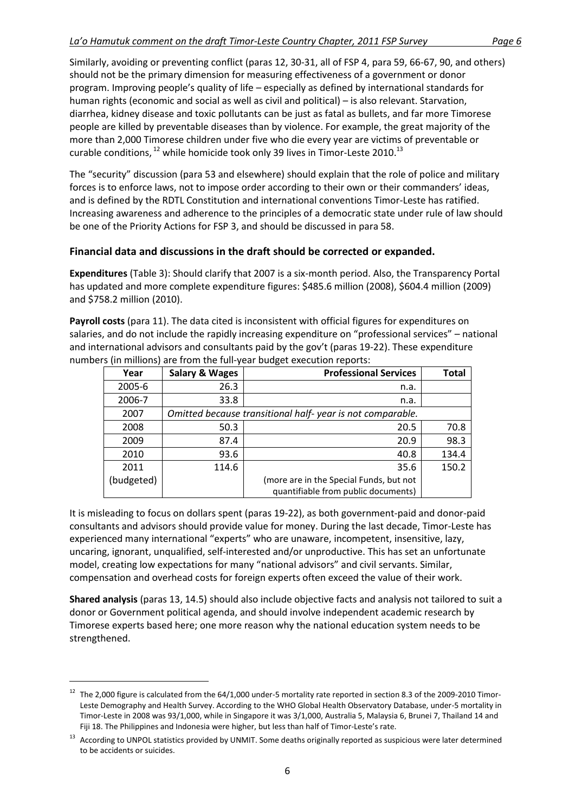Similarly, avoiding or preventing conflict (paras 12, 30-31, all of FSP 4, para 59, 66-67, 90, and others) should not be the primary dimension for measuring effectiveness of a government or donor program. Improving people's quality of life – especially as defined by international standards for human rights (economic and social as well as civil and political) – is also relevant. Starvation, diarrhea, kidney disease and toxic pollutants can be just as fatal as bullets, and far more Timorese people are killed by preventable diseases than by violence. For example, the great majority of the more than 2,000 Timorese children under five who die every year are victims of preventable or curable conditions,  $^{12}$  while homicide took only 39 lives in Timor-Leste 2010.<sup>13</sup>

The "security" discussion (para 53 and elsewhere) should explain that the role of police and military forces is to enforce laws, not to impose order according to their own or their commanders' ideas, and is defined by the RDTL Constitution and international conventions Timor-Leste has ratified. Increasing awareness and adherence to the principles of a democratic state under rule of law should be one of the Priority Actions for FSP 3, and should be discussed in para 58.

#### <span id="page-5-0"></span>**Financial data and discussions in the draft should be corrected or expanded.**

**Expenditures** (Table 3): Should clarify that 2007 is a six-month period. Also, the Transparency Portal has updated and more complete expenditure figures: \$485.6 million (2008), \$604.4 million (2009) and \$758.2 million (2010).

**Payroll costs** (para 11). The data cited is inconsistent with official figures for expenditures on salaries, and do not include the rapidly increasing expenditure on "professional services" – national and international advisors and consultants paid by the gov't (paras 19-22). These expenditure numbers (in millions) are from the full-year budget execution reports:

|            |                           | ີ                                                         |              |
|------------|---------------------------|-----------------------------------------------------------|--------------|
| Year       | <b>Salary &amp; Wages</b> | <b>Professional Services</b>                              | <b>Total</b> |
| 2005-6     | 26.3                      | n.a.                                                      |              |
| 2006-7     | 33.8                      | n.a.                                                      |              |
| 2007       |                           | Omitted because transitional half-year is not comparable. |              |
| 2008       | 50.3                      | 20.5                                                      | 70.8         |
| 2009       | 87.4                      | 20.9                                                      | 98.3         |
| 2010       | 93.6                      | 40.8                                                      | 134.4        |
| 2011       | 114.6                     | 35.6                                                      | 150.2        |
| (budgeted) |                           | (more are in the Special Funds, but not                   |              |
|            |                           | quantifiable from public documents)                       |              |

It is misleading to focus on dollars spent (paras 19-22), as both government-paid and donor-paid consultants and advisors should provide value for money. During the last decade, Timor-Leste has experienced many international "experts" who are unaware, incompetent, insensitive, lazy, uncaring, ignorant, unqualified, self-interested and/or unproductive. This has set an unfortunate model, creating low expectations for many "national advisors" and civil servants. Similar, compensation and overhead costs for foreign experts often exceed the value of their work.

**Shared analysis** (paras 13, 14.5) should also include objective facts and analysis not tailored to suit a donor or Government political agenda, and should involve independent academic research by Timorese experts based here; one more reason why the national education system needs to be strengthened.

 $12$  The 2,000 figure is calculated from the 64/1,000 under-5 mortality rate reported in section 8.3 of the 2009-2010 Timor-Leste Demography and Health Survey. According to the WHO Global Health Observatory Database, under-5 mortality in Timor-Leste in 2008 was 93/1,000, while in Singapore it was 3/1,000, Australia 5, Malaysia 6, Brunei 7, Thailand 14 and Fiji 18. The Philippines and Indonesia were higher, but less than half of Timor-Leste's rate.

<sup>&</sup>lt;sup>13</sup> According to UNPOL statistics provided by UNMIT. Some deaths originally reported as suspicious were later determined to be accidents or suicides.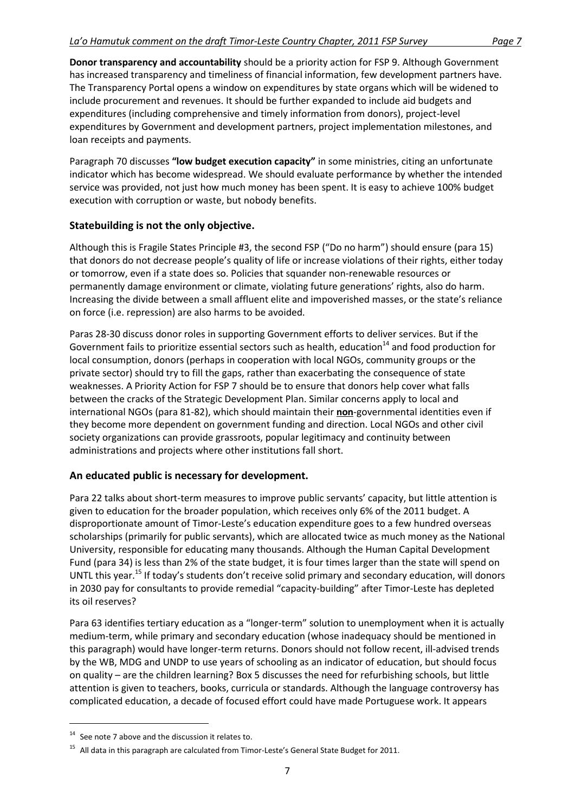**Donor transparency and accountability** should be a priority action for FSP 9. Although Government has increased transparency and timeliness of financial information, few development partners have. The Transparency Portal opens a window on expenditures by state organs which will be widened to include procurement and revenues. It should be further expanded to include aid budgets and expenditures (including comprehensive and timely information from donors), project-level expenditures by Government and development partners, project implementation milestones, and loan receipts and payments.

Paragraph 70 discusses **"low budget execution capacity"** in some ministries, citing an unfortunate indicator which has become widespread. We should evaluate performance by whether the intended service was provided, not just how much money has been spent. It is easy to achieve 100% budget execution with corruption or waste, but nobody benefits.

#### <span id="page-6-0"></span>**Statebuilding is not the only objective.**

Although this is Fragile States Principle #3, the second FSP ("Do no harm") should ensure (para 15) that donors do not decrease people's quality of life or increase violations of their rights, either today or tomorrow, even if a state does so. Policies that squander non-renewable resources or permanently damage environment or climate, violating future generations' rights, also do harm. Increasing the divide between a small affluent elite and impoverished masses, or the state's reliance on force (i.e. repression) are also harms to be avoided.

Paras 28-30 discuss donor roles in supporting Government efforts to deliver services. But if the Government fails to prioritize essential sectors such as health, education $14$  and food production for local consumption, donors (perhaps in cooperation with local NGOs, community groups or the private sector) should try to fill the gaps, rather than exacerbating the consequence of state weaknesses. A Priority Action for FSP 7 should be to ensure that donors help cover what falls between the cracks of the Strategic Development Plan. Similar concerns apply to local and international NGOs (para 81-82), which should maintain their **non**-governmental identities even if they become more dependent on government funding and direction. Local NGOs and other civil society organizations can provide grassroots, popular legitimacy and continuity between administrations and projects where other institutions fall short.

#### <span id="page-6-1"></span>**An educated public is necessary for development.**

Para 22 talks about short-term measures to improve public servants' capacity, but little attention is given to education for the broader population, which receives only 6% of the 2011 budget. A disproportionate amount of Timor-Leste's education expenditure goes to a few hundred overseas scholarships (primarily for public servants), which are allocated twice as much money as the National University, responsible for educating many thousands. Although the Human Capital Development Fund (para 34) is less than 2% of the state budget, it is four times larger than the state will spend on UNTL this year.<sup>15</sup> If today's students don't receive solid primary and secondary education, will donors in 2030 pay for consultants to provide remedial "capacity-building" after Timor-Leste has depleted its oil reserves?

Para 63 identifies tertiary education as a "longer-term" solution to unemployment when it is actually medium-term, while primary and secondary education (whose inadequacy should be mentioned in this paragraph) would have longer-term returns. Donors should not follow recent, ill-advised trends by the WB, MDG and UNDP to use years of schooling as an indicator of education, but should focus on quality – are the children learning? Box 5 discusses the need for refurbishing schools, but little attention is given to teachers, books, curricula or standards. Although the language controversy has complicated education, a decade of focused effort could have made Portuguese work. It appears

 $14$  See note 7 above and the discussion it relates to.

<sup>&</sup>lt;sup>15</sup> All data in this paragraph are calculated from Timor-Leste's General State Budget for 2011.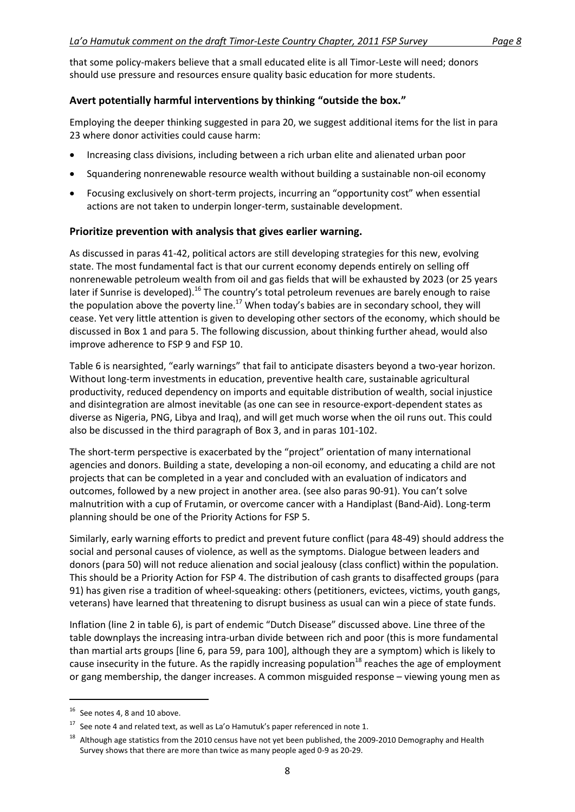that some policy-makers believe that a small educated elite is all Timor-Leste will need; donors should use pressure and resources ensure quality basic education for more students.

#### <span id="page-7-0"></span>**Avert potentially harmful interventions by thinking "outside the box."**

Employing the deeper thinking suggested in para 20, we suggest additional items for the list in para 23 where donor activities could cause harm:

- Increasing class divisions, including between a rich urban elite and alienated urban poor
- Squandering nonrenewable resource wealth without building a sustainable non-oil economy
- Focusing exclusively on short-term projects, incurring an "opportunity cost" when essential actions are not taken to underpin longer-term, sustainable development.

#### <span id="page-7-1"></span>**Prioritize prevention with analysis that gives earlier warning.**

As discussed in paras 41-42, political actors are still developing strategies for this new, evolving state. The most fundamental fact is that our current economy depends entirely on selling off nonrenewable petroleum wealth from oil and gas fields that will be exhausted by 2023 (or 25 years later if Sunrise is developed).<sup>16</sup> The country's total petroleum revenues are barely enough to raise the population above the poverty line.<sup>17</sup> When today's babies are in secondary school, they will cease. Yet very little attention is given to developing other sectors of the economy, which should be discussed in Box 1 and para 5. The following discussion, about thinking further ahead, would also improve adherence to FSP 9 and FSP 10.

Table 6 is nearsighted, "early warnings" that fail to anticipate disasters beyond a two-year horizon. Without long-term investments in education, preventive health care, sustainable agricultural productivity, reduced dependency on imports and equitable distribution of wealth, social injustice and disintegration are almost inevitable (as one can see in resource-export-dependent states as diverse as Nigeria, PNG, Libya and Iraq), and will get much worse when the oil runs out. This could also be discussed in the third paragraph of Box 3, and in paras 101-102.

The short-term perspective is exacerbated by the "project" orientation of many international agencies and donors. Building a state, developing a non-oil economy, and educating a child are not projects that can be completed in a year and concluded with an evaluation of indicators and outcomes, followed by a new project in another area. (see also paras 90-91). You can't solve malnutrition with a cup of Frutamin, or overcome cancer with a Handiplast (Band-Aid). Long-term planning should be one of the Priority Actions for FSP 5.

Similarly, early warning efforts to predict and prevent future conflict (para 48-49) should address the social and personal causes of violence, as well as the symptoms. Dialogue between leaders and donors (para 50) will not reduce alienation and social jealousy (class conflict) within the population. This should be a Priority Action for FSP 4. The distribution of cash grants to disaffected groups (para 91) has given rise a tradition of wheel-squeaking: others (petitioners, evictees, victims, youth gangs, veterans) have learned that threatening to disrupt business as usual can win a piece of state funds.

Inflation (line 2 in table 6), is part of endemic "Dutch Disease" discussed above. Line three of the table downplays the increasing intra-urban divide between rich and poor (this is more fundamental than martial arts groups [line 6, para 59, para 100], although they are a symptom) which is likely to cause insecurity in the future. As the rapidly increasing population<sup>18</sup> reaches the age of employment or gang membership, the danger increases. A common misguided response – viewing young men as

1

 $16$  See notes 4, 8 and 10 above.

 $17$  See note 4 and related text, as well as La'o Hamutuk's paper referenced in note 1.

<sup>&</sup>lt;sup>18</sup> Although age statistics from the 2010 census have not yet been published, the 2009-2010 Demography and Health Survey shows that there are more than twice as many people aged 0-9 as 20-29.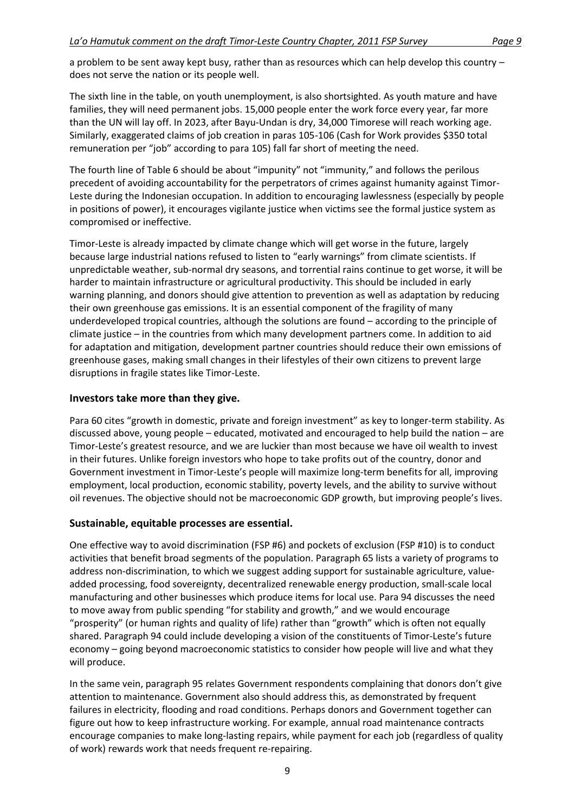a problem to be sent away kept busy, rather than as resources which can help develop this country – does not serve the nation or its people well.

The sixth line in the table, on youth unemployment, is also shortsighted. As youth mature and have families, they will need permanent jobs. 15,000 people enter the work force every year, far more than the UN will lay off. In 2023, after Bayu-Undan is dry, 34,000 Timorese will reach working age. Similarly, exaggerated claims of job creation in paras 105-106 (Cash for Work provides \$350 total remuneration per "job" according to para 105) fall far short of meeting the need.

The fourth line of Table 6 should be about "impunity" not "immunity," and follows the perilous precedent of avoiding accountability for the perpetrators of crimes against humanity against Timor-Leste during the Indonesian occupation. In addition to encouraging lawlessness (especially by people in positions of power), it encourages vigilante justice when victims see the formal justice system as compromised or ineffective.

Timor-Leste is already impacted by climate change which will get worse in the future, largely because large industrial nations refused to listen to "early warnings" from climate scientists. If unpredictable weather, sub-normal dry seasons, and torrential rains continue to get worse, it will be harder to maintain infrastructure or agricultural productivity. This should be included in early warning planning, and donors should give attention to prevention as well as adaptation by reducing their own greenhouse gas emissions. It is an essential component of the fragility of many underdeveloped tropical countries, although the solutions are found – according to the principle of climate justice – in the countries from which many development partners come. In addition to aid for adaptation and mitigation, development partner countries should reduce their own emissions of greenhouse gases, making small changes in their lifestyles of their own citizens to prevent large disruptions in fragile states like Timor-Leste.

#### <span id="page-8-0"></span>**Investors take more than they give.**

Para 60 cites "growth in domestic, private and foreign investment" as key to longer-term stability. As discussed above, young people – educated, motivated and encouraged to help build the nation – are Timor-Leste's greatest resource, and we are luckier than most because we have oil wealth to invest in their futures. Unlike foreign investors who hope to take profits out of the country, donor and Government investment in Timor-Leste's people will maximize long-term benefits for all, improving employment, local production, economic stability, poverty levels, and the ability to survive without oil revenues. The objective should not be macroeconomic GDP growth, but improving people's lives.

#### <span id="page-8-1"></span>**Sustainable, equitable processes are essential.**

One effective way to avoid discrimination (FSP #6) and pockets of exclusion (FSP #10) is to conduct activities that benefit broad segments of the population. Paragraph 65 lists a variety of programs to address non-discrimination, to which we suggest adding support for sustainable agriculture, valueadded processing, food sovereignty, decentralized renewable energy production, small-scale local manufacturing and other businesses which produce items for local use. Para 94 discusses the need to move away from public spending "for stability and growth," and we would encourage "prosperity" (or human rights and quality of life) rather than "growth" which is often not equally shared. Paragraph 94 could include developing a vision of the constituents of Timor-Leste's future economy – going beyond macroeconomic statistics to consider how people will live and what they will produce.

In the same vein, paragraph 95 relates Government respondents complaining that donors don't give attention to maintenance. Government also should address this, as demonstrated by frequent failures in electricity, flooding and road conditions. Perhaps donors and Government together can figure out how to keep infrastructure working. For example, annual road maintenance contracts encourage companies to make long-lasting repairs, while payment for each job (regardless of quality of work) rewards work that needs frequent re-repairing.